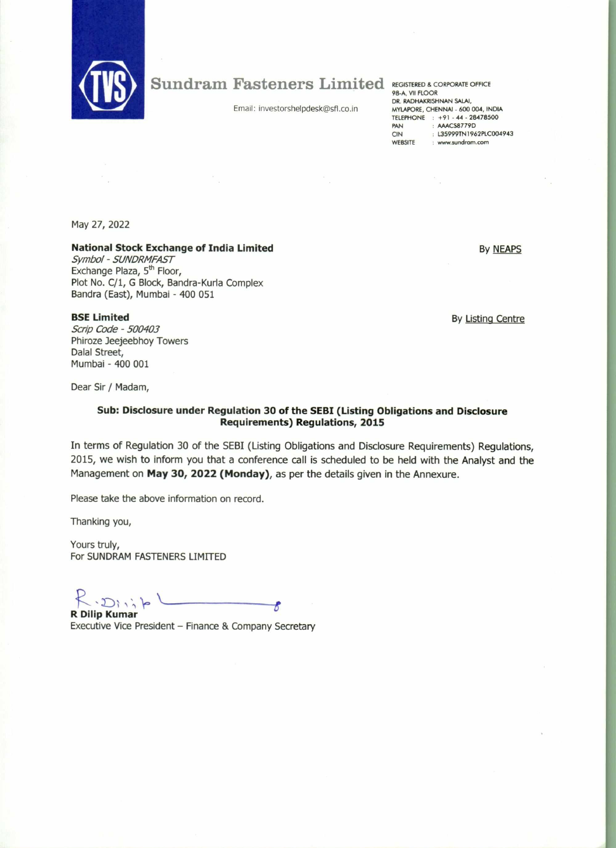

## Sundram Fasteners Limited

Email: investorshelpdesk@sfl.co.in

REGISTERED 8 CORPORATE OFFICE 98-A, VII FLOOR DR. RADHAKRISHNAN SALAI, MYLAPORE, CHENNAI - 600 004, INDIA TELEPHONE : +91 - 44 - 28478500 PAN : AAACS8779D CIN : L35999TN1962PLC004943<br>WEBSITE : www.sundram.com : www.sundram.com

May 27, 2022

**BSE Limited**  Scrip Code - 500403 Phiroze Jeejeebhoy Towers

Dalal Street, Mumbai - 400 001

## **National Stock Exchange of India Limited**

Symbol - SUNDRMFAST Exchange Plaza, 5<sup>th</sup> Floor, Plot No. C/1, G Block, Bandra-Kurla Complex Bandra (East), Mumbai - 400 051

By Listing Centre

By NEAPS

Dear Sir / Madam,

## **Sub: Disclosure under Regulation 30 of the SEBI (Listing Obligations and Disclosure Requirements) Regulations, 2015**

In terms of Regulation 30 of the SEBI (Listing Obligations and Disclosure Requirements) Regulations, 2015, we wish to inform you that a conference call is scheduled to be held with the Analyst and the Management on **May 30, 2022 (Monday),** as per the details given in the Annexure.

Please take the above information on record.

Thanking you,

Yours truly, For SUNDRAM FASTENERS LIMITED

**R Dilip Kumar**  R

Executive Vice President — Finance & Company Secretary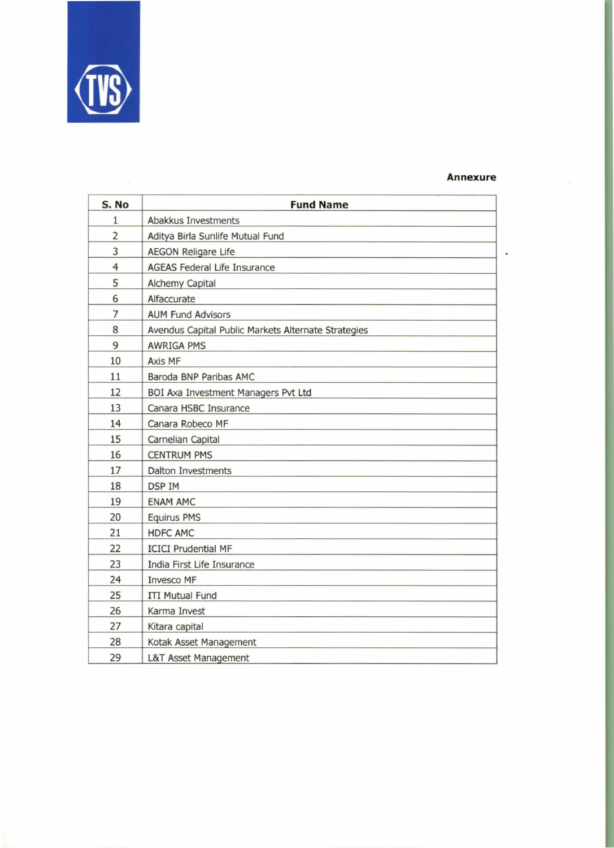

## **Annexure**

| S. No          | <b>Fund Name</b>                                    |
|----------------|-----------------------------------------------------|
| $\mathbf{1}$   | Abakkus Investments                                 |
| 2              | Aditya Birla Sunlife Mutual Fund                    |
| 3              | <b>AEGON Religare Life</b>                          |
| $\overline{4}$ | <b>AGEAS Federal Life Insurance</b>                 |
| 5              | <b>Alchemy Capital</b>                              |
| 6              | Alfaccurate                                         |
| 7              | <b>AUM Fund Advisors</b>                            |
| 8              | Avendus Capital Public Markets Alternate Strategies |
| 9              | <b>AWRIGA PMS</b>                                   |
| 10             | Axis MF                                             |
| 11             | Baroda BNP Paribas AMC                              |
| 12             | BOI Axa Investment Managers Pvt Ltd                 |
| 13             | Canara HSBC Insurance                               |
| 14             | Canara Robeco MF                                    |
| 15             | Carnelian Capital                                   |
| 16             | <b>CENTRUM PMS</b>                                  |
| 17             | <b>Dalton Investments</b>                           |
| 18             | <b>DSP IM</b>                                       |
| 19             | <b>ENAM AMC</b>                                     |
| 20             | <b>Equirus PMS</b>                                  |
| 21             | <b>HDFC AMC</b>                                     |
| 22             | <b>ICICI Prudential MF</b>                          |
| 23             | India First Life Insurance                          |
| 24             | <b>Invesco MF</b>                                   |
| 25             | <b>ITI Mutual Fund</b>                              |
| 26             | Karma Invest                                        |
| 27             | Kitara capital                                      |
| 28             | Kotak Asset Management                              |
| 29             | <b>L&amp;T Asset Management</b>                     |